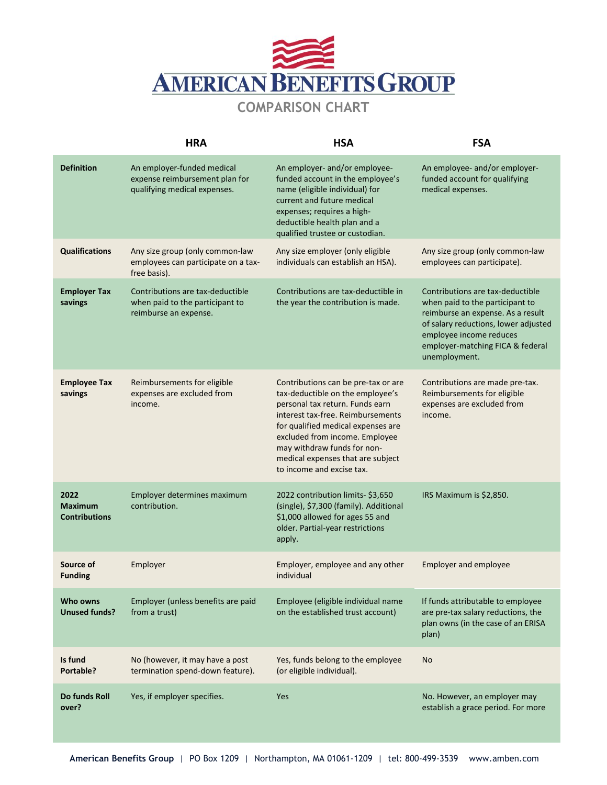

## **COMPARISON CHART**

|                                                | <b>HRA</b>                                                                                   | <b>HSA</b>                                                                                                                                                                                                                                                                                                               | <b>FSA</b>                                                                                                                                                                                                                       |
|------------------------------------------------|----------------------------------------------------------------------------------------------|--------------------------------------------------------------------------------------------------------------------------------------------------------------------------------------------------------------------------------------------------------------------------------------------------------------------------|----------------------------------------------------------------------------------------------------------------------------------------------------------------------------------------------------------------------------------|
| <b>Definition</b>                              | An employer-funded medical<br>expense reimbursement plan for<br>qualifying medical expenses. | An employer- and/or employee-<br>funded account in the employee's<br>name (eligible individual) for<br>current and future medical<br>expenses; requires a high-<br>deductible health plan and a<br>qualified trustee or custodian.                                                                                       | An employee- and/or employer-<br>funded account for qualifying<br>medical expenses.                                                                                                                                              |
| <b>Qualifications</b>                          | Any size group (only common-law<br>employees can participate on a tax-<br>free basis).       | Any size employer (only eligible<br>individuals can establish an HSA).                                                                                                                                                                                                                                                   | Any size group (only common-law<br>employees can participate).                                                                                                                                                                   |
| <b>Employer Tax</b><br>savings                 | Contributions are tax-deductible<br>when paid to the participant to<br>reimburse an expense. | Contributions are tax-deductible in<br>the year the contribution is made.                                                                                                                                                                                                                                                | Contributions are tax-deductible<br>when paid to the participant to<br>reimburse an expense. As a result<br>of salary reductions, lower adjusted<br>employee income reduces<br>employer-matching FICA & federal<br>unemployment. |
| <b>Employee Tax</b><br>savings                 | Reimbursements for eligible<br>expenses are excluded from<br>income.                         | Contributions can be pre-tax or are<br>tax-deductible on the employee's<br>personal tax return. Funds earn<br>interest tax-free. Reimbursements<br>for qualified medical expenses are<br>excluded from income. Employee<br>may withdraw funds for non-<br>medical expenses that are subject<br>to income and excise tax. | Contributions are made pre-tax.<br>Reimbursements for eligible<br>expenses are excluded from<br>income.                                                                                                                          |
| 2022<br><b>Maximum</b><br><b>Contributions</b> | Employer determines maximum<br>contribution.                                                 | 2022 contribution limits- \$3,650<br>(single), \$7,300 (family). Additional<br>\$1,000 allowed for ages 55 and<br>older. Partial-year restrictions<br>apply.                                                                                                                                                             | IRS Maximum is \$2,850.                                                                                                                                                                                                          |
| Source of<br><b>Funding</b>                    | Employer                                                                                     | Employer, employee and any other<br>individual                                                                                                                                                                                                                                                                           | <b>Employer and employee</b>                                                                                                                                                                                                     |
| Who owns<br><b>Unused funds?</b>               | Employer (unless benefits are paid<br>from a trust)                                          | Employee (eligible individual name<br>on the established trust account)                                                                                                                                                                                                                                                  | If funds attributable to employee<br>are pre-tax salary reductions, the<br>plan owns (in the case of an ERISA<br>plan)                                                                                                           |
| Is fund<br>Portable?                           | No (however, it may have a post<br>termination spend-down feature).                          | Yes, funds belong to the employee<br>(or eligible individual).                                                                                                                                                                                                                                                           | <b>No</b>                                                                                                                                                                                                                        |
| Do funds Roll<br>over?                         | Yes, if employer specifies.                                                                  | Yes                                                                                                                                                                                                                                                                                                                      | No. However, an employer may<br>establish a grace period. For more                                                                                                                                                               |